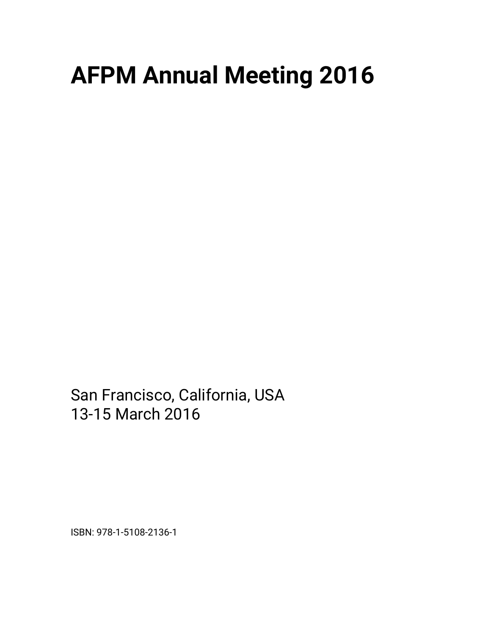## **AFPM Annual Meeting 2016**

San Francisco, California, USA 13-15 March 2016

ISBN: 978-1-5108-2136-1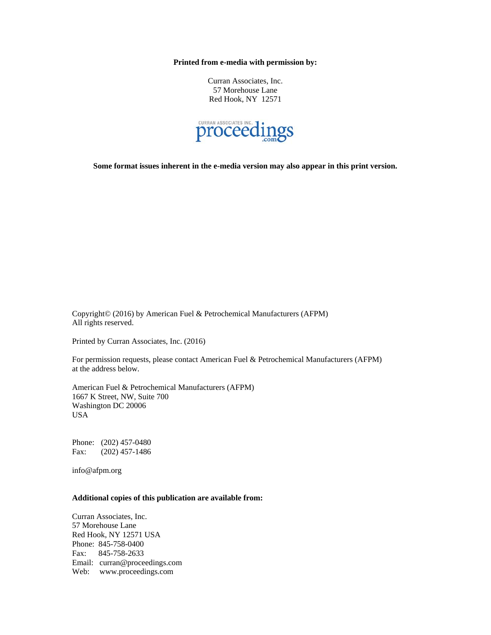**Printed from e-media with permission by:** 

Curran Associates, Inc. 57 Morehouse Lane Red Hook, NY 12571



**Some format issues inherent in the e-media version may also appear in this print version.** 

Copyright© (2016) by American Fuel & Petrochemical Manufacturers (AFPM) All rights reserved.

Printed by Curran Associates, Inc. (2016)

For permission requests, please contact American Fuel & Petrochemical Manufacturers (AFPM) at the address below.

American Fuel & Petrochemical Manufacturers (AFPM) 1667 K Street, NW, Suite 700 Washington DC 20006 USA

Phone: (202) 457-0480 Fax: (202) 457-1486

info@afpm.org

## **Additional copies of this publication are available from:**

Curran Associates, Inc. 57 Morehouse Lane Red Hook, NY 12571 USA Phone: 845-758-0400 Fax: 845-758-2633 Email: curran@proceedings.com Web: www.proceedings.com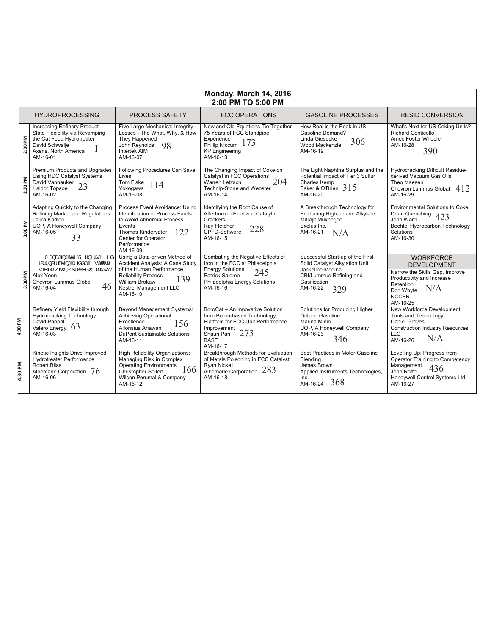| Monday, March 14, 2016<br>2:00 PM TO 5:00 PM |                                                                                                                                                                |                                                                                                                                                                                                        |                                                                                                                                                                       |                                                                                                                                                      |                                                                                                                                                                    |  |  |
|----------------------------------------------|----------------------------------------------------------------------------------------------------------------------------------------------------------------|--------------------------------------------------------------------------------------------------------------------------------------------------------------------------------------------------------|-----------------------------------------------------------------------------------------------------------------------------------------------------------------------|------------------------------------------------------------------------------------------------------------------------------------------------------|--------------------------------------------------------------------------------------------------------------------------------------------------------------------|--|--|
|                                              | <b>HYDROPROCESSING</b>                                                                                                                                         | PROCESS SAFETY                                                                                                                                                                                         | <b>FCC OPERATIONS</b>                                                                                                                                                 | <b>GASOLINE PROCESSES</b>                                                                                                                            | <b>RESID CONVERSION</b>                                                                                                                                            |  |  |
| 2:00 PM                                      | <b>Increasing Refinery Product</b><br>Slate Flexibility via Revamping<br>the Cat Feed Hydrotreater<br>David Schwalie<br>Axens. North America<br>AM-16-01       | Five Large Mechanical Integrity<br>Losses - The What, Why, & How<br>They Happened<br>John Reynolds<br>98<br>Intertek AIM<br>AM-16-07                                                                   | New and Old Equations Tie Together<br>75 Years of FCC Standpipe<br>Experience<br>173<br>Phillip Niccum<br><b>KP</b> Engineering<br>AM-16-13                           | How Real is the Peak in US<br>Gasoline Demand?<br>Linda Giesecke<br>306<br>Wood Mackenzie<br>AM-16-19                                                | What's Next for US Coking Units?<br>Richard Conticello<br>Amec Foster Wheeler<br>AM-16-28<br>390                                                                   |  |  |
| 2:30 PM                                      | Premium Products and Upgrades<br>Using HDC Catalyst Systems<br>David Vannauker<br>23<br><b>Haldor Topsoe</b><br>AM-16-02                                       | Following Procedures Can Save<br>Lives<br>Tom Fiske<br>114<br>Yokogawa<br>AM-16-08                                                                                                                     | The Changing Impact of Coke on<br>Catalyst in FCC Operations<br>204<br>Warren Letzsch<br>Technip-Stone and Webster<br>AM-16-14                                        | The Light Naphtha Surplus and the<br>Potential Impact of Tier 3 Sulfur<br>Charles Kemp<br>Baker & O'Brien $315$<br>AM-16-20                          | <b>Hydrocracking Difficult Residue-</b><br>derived Vacuum Gas Oils<br>Theo Maesen<br>Chevron Lummus Global $412$<br>AM-16-29                                       |  |  |
| 3:00 PM                                      | Adapting Quickly to the Changing<br>Refining Market and Regulations<br>Laura Kadlec<br>UOP, A Honeywell Company<br>AM-16-05<br>33                              | Process Event Avoidance: Using<br><b>Identification of Process Faults</b><br>to Avoid Abnormal Process<br>Events<br><b>Thomas Kindervater</b><br>122<br>Center for Operator<br>Performance<br>AM-16-09 | Identifying the Root Cause of<br>Afterburn in Fluidized Catalytic<br>Crackers<br>Rav Fletcher<br>228<br>CPFD-Software<br>AM-16-15                                     | A Breakthrough Technology for<br>Producing High-octane Alkylate<br>Mitrajit Mukherjee<br>Exelus Inc.<br>AM-16-21<br>N/A                              | <b>Environmental Solutions to Coke</b><br>Drum Quenching 423<br>John Ward<br>Bechtel Hydrocarbon Technology<br>Solutions<br>AM-16-30                               |  |  |
| 3:30 PM                                      | Tæ}æfā,*Án@AÜ^-āj^¦©Áp^^å<br>-liÁ00& ^æ ã *ÁTãåå ^ÁÖãαãlæ<^<br>ŸāNå •Á ão @AQ 1 ¦[ç^å ÁÔææ† • c<br>Alex Yoon<br><b>Chevron Lummus Global</b><br>46<br>AM-16-04 | Using a Data-driven Method of<br>Accident Analysis: A Case Study<br>of the Human Performance<br><b>Reliability Process</b><br>139<br><b>William Brokaw</b><br>Kestrel Management LLC<br>AM-16-10       | Combating the Negative Effects of<br>Iron in the FCC at Philadelphia<br><b>Energy Solutions</b><br>245<br>Patrick Salemo<br>Philadelphia Energy Solutions<br>AM-16-16 | Successful Start-up of the First<br>Solid Catalyst Alkylation Unit<br>Jackeline Medina<br>CBI/Lummus Refining and<br>Gasification<br>AM-16-22<br>329 | <b>WORKFORCE</b><br><b>DEVELOPMENT</b><br>Narrow the Skills Gap, Improve<br>Productivity and Increase<br>Retention<br>N/A<br>Don Whyte<br><b>NCCER</b><br>AM-16-25 |  |  |
|                                              | Refinery Yield Flexibility through<br><b>Hydrocracking Technology</b><br>David Pappal<br>Valero Energy 63<br>AM-16-03                                          | <b>Beyond Management Systems:</b><br><b>Achieving Operational</b><br>Excellence<br>156<br>Alfonsius Ariawan<br>DuPont Sustainable Solutions<br>AM-16-11                                                | BoroCat - An Innovative Solution<br>from Boron-based Technology<br>Platform for FCC Unit Performance<br>Improvement<br>273<br>Shaun Pan<br><b>BASF</b><br>AM-16-17    | Solutions for Producing Higher<br>Octane Gasoline<br>Marina Minin<br>UOP, A Honeywell Company<br>AM-16-23<br>346                                     | New Workforce Development<br>Tools and Technology<br><b>Daniel Groves</b><br>Construction Industry Resources,<br>LLC.<br>N/A<br>AM-16-26                           |  |  |
| <b>M405:1</b>                                | Kinetic Insights Drive Improved<br><b>Hydrotreater Performance</b><br><b>Robert Bliss</b><br>Albemarle Corporation $76$<br>AM-16-06                            | <b>High Reliability Organizations:</b><br>Managing Risk in Complex<br><b>Operating Environments</b><br>166<br><b>Christopher Seifert</b><br>Wilson Perumal & Company<br>AM-16-12                       | Breakthrough Methods for Evaluation<br>of Metals Poisoning in FCC Catalyst<br>Ryan Nickell<br>Albemarle Corporation 283<br>AM-16-18                                   | Best Practices in Motor Gasoline<br>Blendina<br>James Brown<br>Applied Instruments Technologies,<br>Inc.<br>368<br>AM-16-24                          | Levelling Up: Progress from<br>Operator Training to Competency<br>Management.<br>436<br>John Roffel<br>Honeywell Control Systems Ltd.<br>AM-16-27                  |  |  |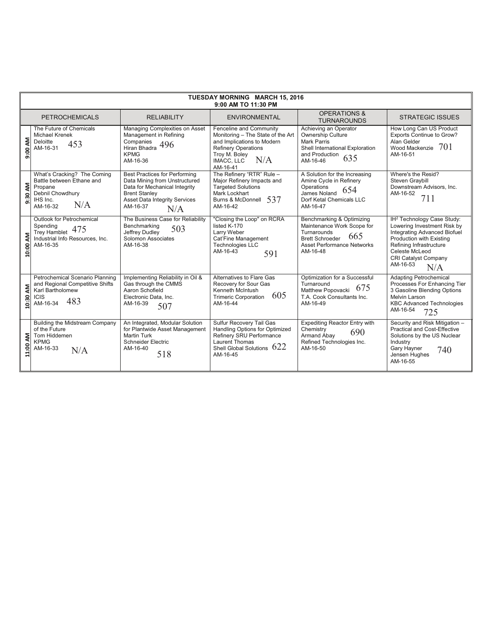| <b>TUESDAY MORNING MARCH 15, 2016</b><br>9:00 AM TO 11:30 PM |                                                                                                                          |                                                                                                                                                                                           |                                                                                                                                                                                   |                                                                                                                                                          |                                                                                                                                                                                                                                  |  |
|--------------------------------------------------------------|--------------------------------------------------------------------------------------------------------------------------|-------------------------------------------------------------------------------------------------------------------------------------------------------------------------------------------|-----------------------------------------------------------------------------------------------------------------------------------------------------------------------------------|----------------------------------------------------------------------------------------------------------------------------------------------------------|----------------------------------------------------------------------------------------------------------------------------------------------------------------------------------------------------------------------------------|--|
| <b>PETROCHEMICALS</b>                                        |                                                                                                                          | <b>RELIABILITY</b>                                                                                                                                                                        | <b>ENVIRONMENTAL</b>                                                                                                                                                              | <b>OPERATIONS &amp;</b><br><b>TURNAROUNDS</b>                                                                                                            | <b>STRATEGIC ISSUES</b>                                                                                                                                                                                                          |  |
| 9:00 AM                                                      | The Future of Chemicals<br>Michael Krenek<br>Deloitte<br>453<br>AM-16-31                                                 | Managing Complexities on Asset<br>Management in Refining<br>Companies<br>496<br>Hiran Bhadra<br><b>KPMG</b><br>AM-16-36                                                                   | Fenceline and Community<br>Monitoring - The State of the Art<br>and Implications to Modern<br><b>Refinery Operations</b><br>Troy M. Boley<br>N/A<br><b>IMACC. LLC</b><br>AM-16-41 | Achieving an Operator<br>Ownership Culture<br>Mark Parris<br>Shell International Exploration<br>and Production<br>635<br>AM-16-46                        | How Long Can US Product<br>Exports Continue to Grow?<br>Alan Gelder<br>Wood Mackenzie $701$<br>AM-16-51                                                                                                                          |  |
| 9:30 AM                                                      | What's Cracking? The Coming<br>Battle between Ethane and<br>Propane<br>Debnil Chowdhury<br>IHS Inc.<br>N/A<br>AM-16-32   | <b>Best Practices for Performing</b><br>Data Mining from Unstructured<br>Data for Mechanical Integrity<br><b>Brent Stanley</b><br><b>Asset Data Integrity Services</b><br>AM-16-37<br>N/A | The Refinery "RTR" Rule -<br>Major Refinery Impacts and<br><b>Targeted Solutions</b><br>Mark Lockhart<br>Burns & McDonnell 537<br>AM-16-42                                        | A Solution for the Increasing<br>Amine Cycle in Refinery<br>Operations<br>654<br>James Noland<br>Dorf Ketal Chemicals LLC<br>AM-16-47                    | Where's the Resid?<br>Steven Graybill<br>Downstream Advisors, Inc.<br>AM-16-52<br>711                                                                                                                                            |  |
| 10:00 AM                                                     | Outlook for Petrochemical<br>Spending<br>475<br><b>Trey Hamblet</b><br>Industrial Info Resources, Inc.<br>AM-16-35       | The Business Case for Reliability<br>Benchmarking<br>503<br>Jeffrey Dudley<br>Solomon Associates<br>AM-16-38                                                                              | "Closing the Loop" on RCRA<br>listed K-170<br>Larry Weber<br>Cat'Fine Management<br><b>Technologies LLC</b><br>AM-16-43<br>591                                                    | Benchmarking & Optimizing<br>Maintenance Work Scope for<br>Turnarounds<br>665<br><b>Brett Schroeder</b><br><b>Asset Performance Networks</b><br>AM-16-48 | IH <sup>2</sup> Technology Case Study:<br>Lowering Investment Risk by<br>Integrating Advanced Biofuel<br>Production with Existing<br>Refining Infrastructure<br>Celeste McLeod<br><b>CRI Catalyst Company</b><br>AM-16-53<br>N/A |  |
| ξ<br>10:30                                                   | Petrochemical Scenario Planning<br>and Regional Competitive Shifts<br>Karl Bartholomew<br><b>ICIS</b><br>483<br>AM-16-34 | Implementing Reliability in Oil &<br>Gas through the CMMS<br>Aaron Schofield<br>Electronic Data, Inc.<br>AM-16-39<br>507                                                                  | Alternatives to Flare Gas<br>Recovery for Sour Gas<br>Kenneth McIntush<br>605<br><b>Trimeric Corporation</b><br>AM-16-44                                                          | Optimization for a Successful<br>Turnaround<br>675<br>Matthew Popovacki<br>T.A. Cook Consultants Inc.<br>AM-16-49                                        | <b>Adapting Petrochemical</b><br>Processes For Enhancing Tier<br>3 Gasoline Blending Options<br>Melvin Larson<br><b>KBC Advanced Technologies</b><br>AM-16-54<br>725                                                             |  |
| 11:00 AM                                                     | <b>Building the Midstream Company</b><br>of the Future<br>Tom Hiddemen<br><b>KPMG</b><br>AM-16-33<br>N/A                 | An Integrated, Modular Solution<br>for Plantwide Asset Management<br><b>Martin Turk</b><br>Schneider Electric<br>AM-16-40<br>518                                                          | Sulfur Recovery Tail Gas<br>Handling Options for Optimized<br>Refinery SRU Performance<br><b>Laurent Thomas</b><br>Shell Global Solutions 622<br>AM-16-45                         | <b>Expediting Reactor Entry with</b><br>Chemistry<br>690<br>Armand Abay<br>Refined Technologies Inc.<br>AM-16-50                                         | Security and Risk Mitigation -<br><b>Practical and Cost-Effective</b><br>Solutions by the US Nuclear<br>Industry<br>Gary Hayner<br>740<br>Jensen Hughes<br>AM-16-55                                                              |  |